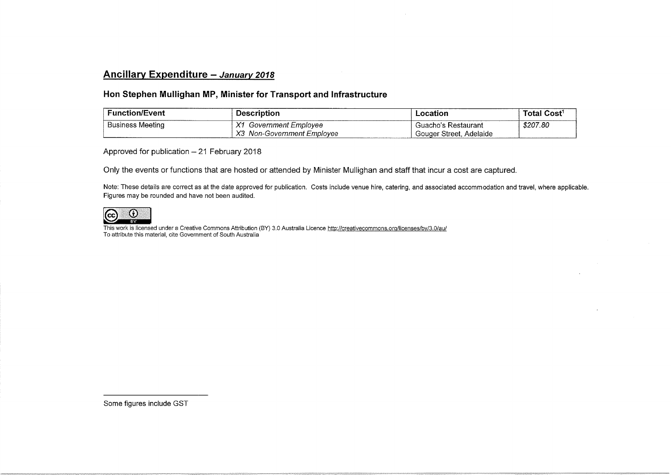## Ancillary Expenditure - January 2018

## Hon Stephen Mullighan MP, Minister for Transport and Infrastructure

| <b>Function/Event</b>   | Description                          | ∟ocation                   | Total Cost <sup>1</sup> |
|-------------------------|--------------------------------------|----------------------------|-------------------------|
| <b>Business Meeting</b> | $\mathcal{M}$<br>Government Emplovee | Guacho's Restaurant        | \$207.80                |
|                         | X3<br>Non-Government Employee        | Gouger Street.<br>Adelaide |                         |

Approved for publication - 21 February 2018

Only the events or functions that are hosted or attended by Minister Mullighan and staff that incur a cost are captured.

Note: These details are correct as at the date approved for publication. Costs include venue hire, catering, and associated accommodation and travel, where applicable. Figures may be rounded and have not been audited.



This work is licensed under a Creative Commons Attribution (BY) 3.0 Australia Licence http://creativecommons.org/licenses/by/3.0/au/ To attribute this material, cite Government of South Australia

Some figures include GST